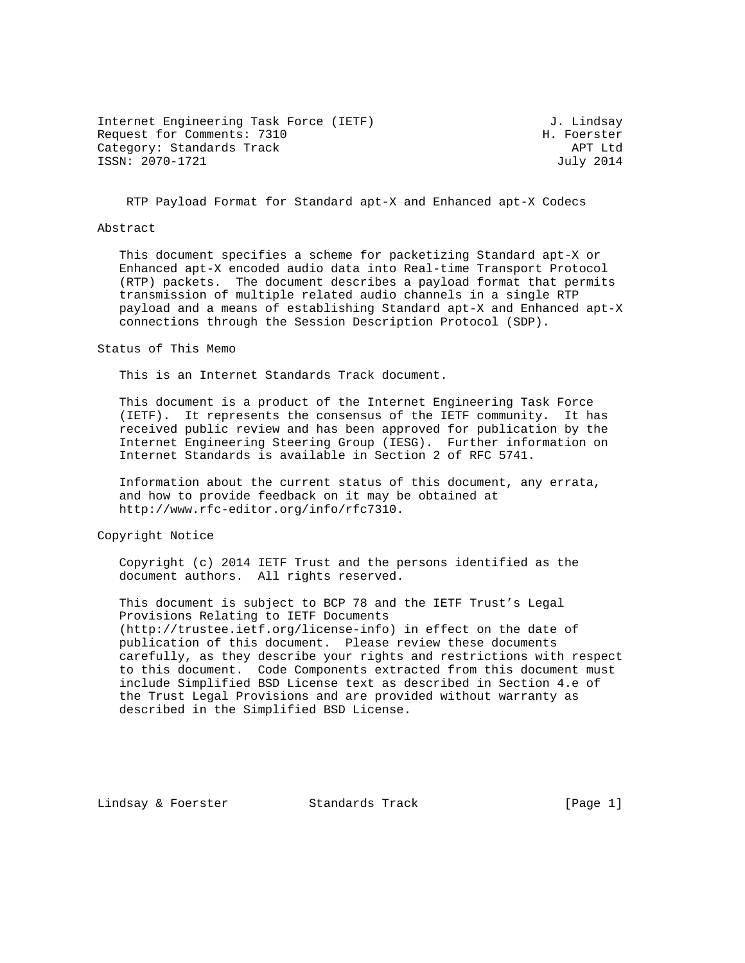Internet Engineering Task Force (IETF) 3. Lindsay Request for Comments: 7310 H. Foerster Category: Standards Track APT Ltd ISSN: 2070-1721 July 2014

RTP Payload Format for Standard apt-X and Enhanced apt-X Codecs

#### Abstract

 This document specifies a scheme for packetizing Standard apt-X or Enhanced apt-X encoded audio data into Real-time Transport Protocol (RTP) packets. The document describes a payload format that permits transmission of multiple related audio channels in a single RTP payload and a means of establishing Standard apt-X and Enhanced apt-X connections through the Session Description Protocol (SDP).

Status of This Memo

This is an Internet Standards Track document.

 This document is a product of the Internet Engineering Task Force (IETF). It represents the consensus of the IETF community. It has received public review and has been approved for publication by the Internet Engineering Steering Group (IESG). Further information on Internet Standards is available in Section 2 of RFC 5741.

 Information about the current status of this document, any errata, and how to provide feedback on it may be obtained at http://www.rfc-editor.org/info/rfc7310.

Copyright Notice

 Copyright (c) 2014 IETF Trust and the persons identified as the document authors. All rights reserved.

 This document is subject to BCP 78 and the IETF Trust's Legal Provisions Relating to IETF Documents (http://trustee.ietf.org/license-info) in effect on the date of publication of this document. Please review these documents carefully, as they describe your rights and restrictions with respect to this document. Code Components extracted from this document must include Simplified BSD License text as described in Section 4.e of the Trust Legal Provisions and are provided without warranty as described in the Simplified BSD License.

Lindsay & Foerster Standards Track [Page 1]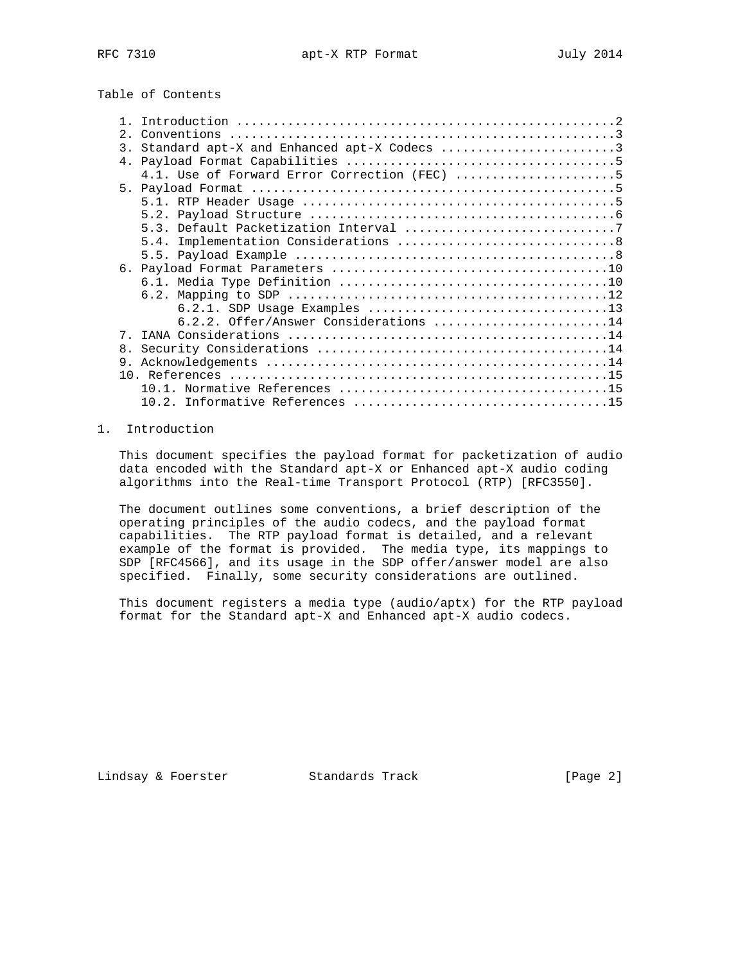# Table of Contents

| 2. |                                              |
|----|----------------------------------------------|
| 3. | Standard apt-X and Enhanced apt-X Codecs 3   |
|    |                                              |
|    | 4.1. Use of Forward Error Correction (FEC) 5 |
|    |                                              |
|    |                                              |
|    |                                              |
|    |                                              |
|    |                                              |
|    |                                              |
|    |                                              |
|    |                                              |
|    |                                              |
|    |                                              |
|    | $6.2.2.$ Offer/Answer Considerations 14      |
|    |                                              |
| 8. |                                              |
| 9. |                                              |
|    |                                              |
|    |                                              |
|    |                                              |

### 1. Introduction

 This document specifies the payload format for packetization of audio data encoded with the Standard apt-X or Enhanced apt-X audio coding algorithms into the Real-time Transport Protocol (RTP) [RFC3550].

 The document outlines some conventions, a brief description of the operating principles of the audio codecs, and the payload format capabilities. The RTP payload format is detailed, and a relevant example of the format is provided. The media type, its mappings to SDP [RFC4566], and its usage in the SDP offer/answer model are also specified. Finally, some security considerations are outlined.

 This document registers a media type (audio/aptx) for the RTP payload format for the Standard apt-X and Enhanced apt-X audio codecs.

Lindsay & Foerster Standards Track [Page 2]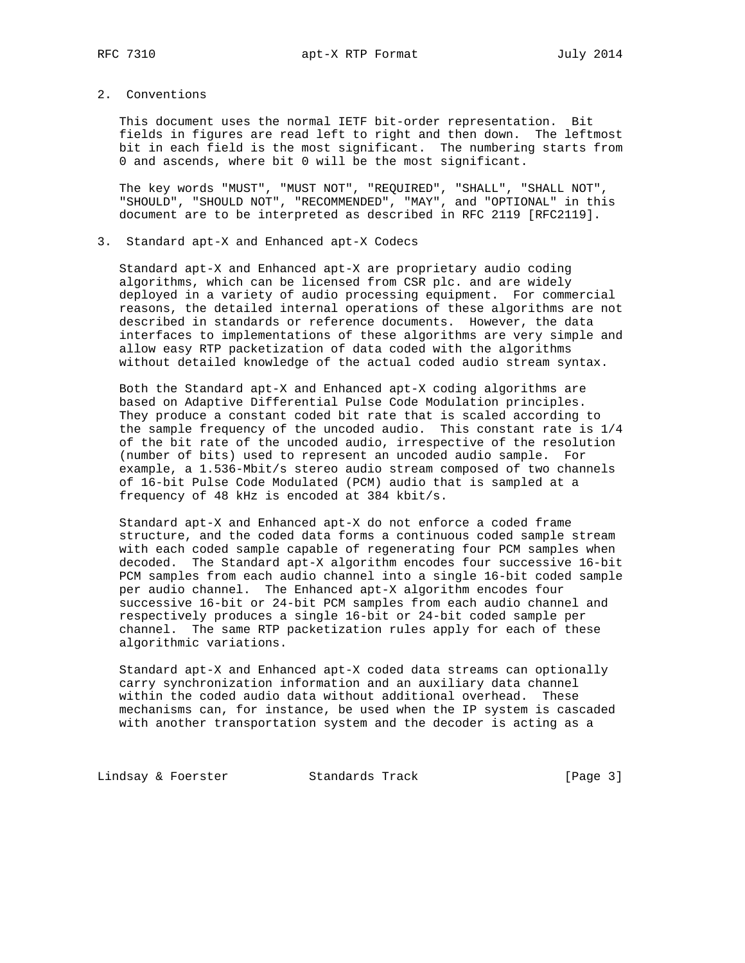## 2. Conventions

 This document uses the normal IETF bit-order representation. Bit fields in figures are read left to right and then down. The leftmost bit in each field is the most significant. The numbering starts from 0 and ascends, where bit 0 will be the most significant.

 The key words "MUST", "MUST NOT", "REQUIRED", "SHALL", "SHALL NOT", "SHOULD", "SHOULD NOT", "RECOMMENDED", "MAY", and "OPTIONAL" in this document are to be interpreted as described in RFC 2119 [RFC2119].

#### 3. Standard apt-X and Enhanced apt-X Codecs

 Standard apt-X and Enhanced apt-X are proprietary audio coding algorithms, which can be licensed from CSR plc. and are widely deployed in a variety of audio processing equipment. For commercial reasons, the detailed internal operations of these algorithms are not described in standards or reference documents. However, the data interfaces to implementations of these algorithms are very simple and allow easy RTP packetization of data coded with the algorithms without detailed knowledge of the actual coded audio stream syntax.

 Both the Standard apt-X and Enhanced apt-X coding algorithms are based on Adaptive Differential Pulse Code Modulation principles. They produce a constant coded bit rate that is scaled according to the sample frequency of the uncoded audio. This constant rate is 1/4 of the bit rate of the uncoded audio, irrespective of the resolution (number of bits) used to represent an uncoded audio sample. For example, a 1.536-Mbit/s stereo audio stream composed of two channels of 16-bit Pulse Code Modulated (PCM) audio that is sampled at a frequency of 48 kHz is encoded at 384 kbit/s.

 Standard apt-X and Enhanced apt-X do not enforce a coded frame structure, and the coded data forms a continuous coded sample stream with each coded sample capable of regenerating four PCM samples when decoded. The Standard apt-X algorithm encodes four successive 16-bit PCM samples from each audio channel into a single 16-bit coded sample per audio channel. The Enhanced apt-X algorithm encodes four successive 16-bit or 24-bit PCM samples from each audio channel and respectively produces a single 16-bit or 24-bit coded sample per channel. The same RTP packetization rules apply for each of these algorithmic variations.

 Standard apt-X and Enhanced apt-X coded data streams can optionally carry synchronization information and an auxiliary data channel within the coded audio data without additional overhead. These mechanisms can, for instance, be used when the IP system is cascaded with another transportation system and the decoder is acting as a

Lindsay & Foerster Standards Track [Page 3]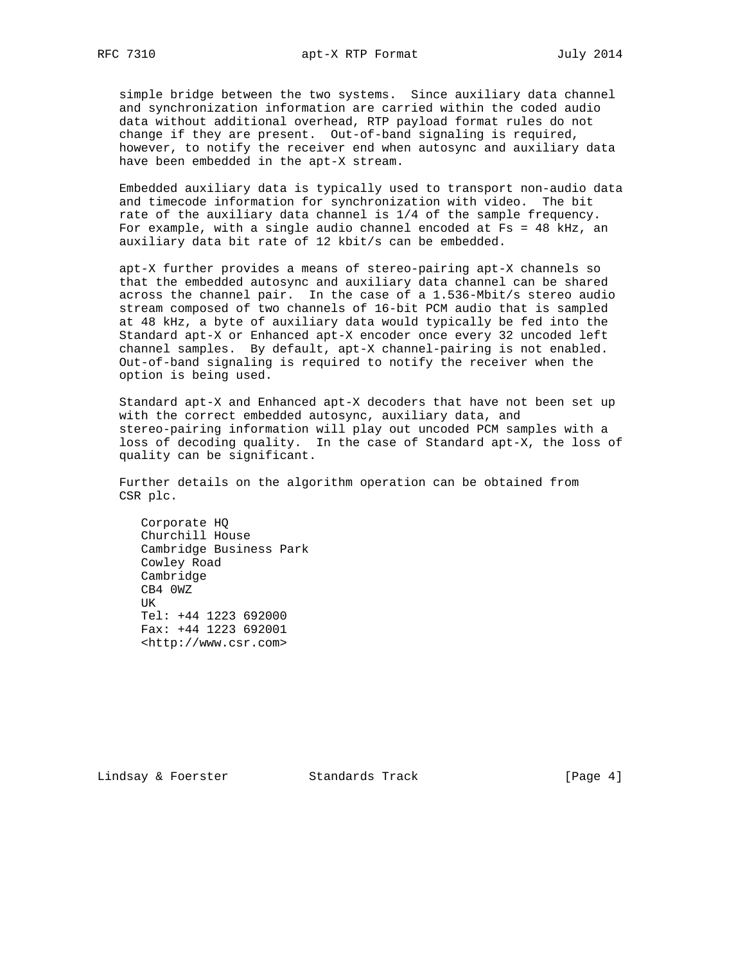simple bridge between the two systems. Since auxiliary data channel and synchronization information are carried within the coded audio data without additional overhead, RTP payload format rules do not change if they are present. Out-of-band signaling is required, however, to notify the receiver end when autosync and auxiliary data have been embedded in the apt-X stream.

 Embedded auxiliary data is typically used to transport non-audio data and timecode information for synchronization with video. The bit rate of the auxiliary data channel is 1/4 of the sample frequency. For example, with a single audio channel encoded at Fs = 48 kHz, an auxiliary data bit rate of 12 kbit/s can be embedded.

 apt-X further provides a means of stereo-pairing apt-X channels so that the embedded autosync and auxiliary data channel can be shared across the channel pair. In the case of a 1.536-Mbit/s stereo audio stream composed of two channels of 16-bit PCM audio that is sampled at 48 kHz, a byte of auxiliary data would typically be fed into the Standard apt-X or Enhanced apt-X encoder once every 32 uncoded left channel samples. By default, apt-X channel-pairing is not enabled. Out-of-band signaling is required to notify the receiver when the option is being used.

 Standard apt-X and Enhanced apt-X decoders that have not been set up with the correct embedded autosync, auxiliary data, and stereo-pairing information will play out uncoded PCM samples with a loss of decoding quality. In the case of Standard apt-X, the loss of quality can be significant.

 Further details on the algorithm operation can be obtained from CSR plc.

 Corporate HQ Churchill House Cambridge Business Park Cowley Road Cambridge CB4 0WZ TIK Tel: +44 1223 692000 Fax: +44 1223 692001 <http://www.csr.com>

Lindsay & Foerster Standards Track [Page 4]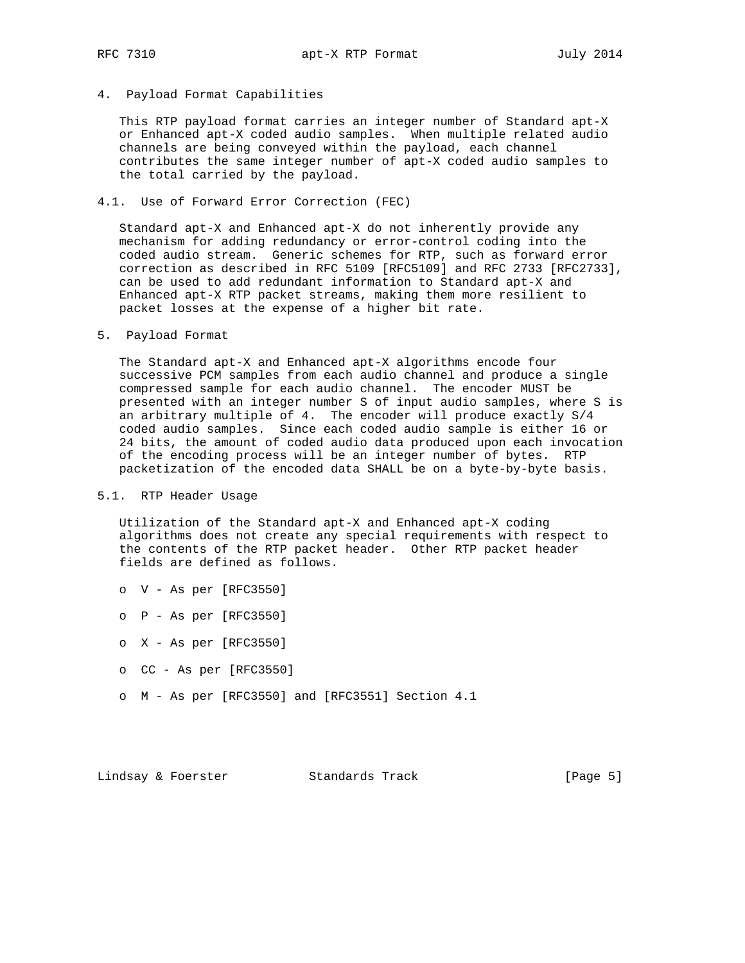#### 4. Payload Format Capabilities

 This RTP payload format carries an integer number of Standard apt-X or Enhanced apt-X coded audio samples. When multiple related audio channels are being conveyed within the payload, each channel contributes the same integer number of apt-X coded audio samples to the total carried by the payload.

#### 4.1. Use of Forward Error Correction (FEC)

 Standard apt-X and Enhanced apt-X do not inherently provide any mechanism for adding redundancy or error-control coding into the coded audio stream. Generic schemes for RTP, such as forward error correction as described in RFC 5109 [RFC5109] and RFC 2733 [RFC2733], can be used to add redundant information to Standard apt-X and Enhanced apt-X RTP packet streams, making them more resilient to packet losses at the expense of a higher bit rate.

#### 5. Payload Format

 The Standard apt-X and Enhanced apt-X algorithms encode four successive PCM samples from each audio channel and produce a single compressed sample for each audio channel. The encoder MUST be presented with an integer number S of input audio samples, where S is an arbitrary multiple of 4. The encoder will produce exactly S/4 coded audio samples. Since each coded audio sample is either 16 or 24 bits, the amount of coded audio data produced upon each invocation of the encoding process will be an integer number of bytes. RTP packetization of the encoded data SHALL be on a byte-by-byte basis.

#### 5.1. RTP Header Usage

 Utilization of the Standard apt-X and Enhanced apt-X coding algorithms does not create any special requirements with respect to the contents of the RTP packet header. Other RTP packet header fields are defined as follows.

- o V As per [RFC3550]
- o P As per [RFC3550]
- o X As per [RFC3550]
- o CC As per [RFC3550]
- o M As per [RFC3550] and [RFC3551] Section 4.1

Lindsay & Foerster Standards Track [Page 5]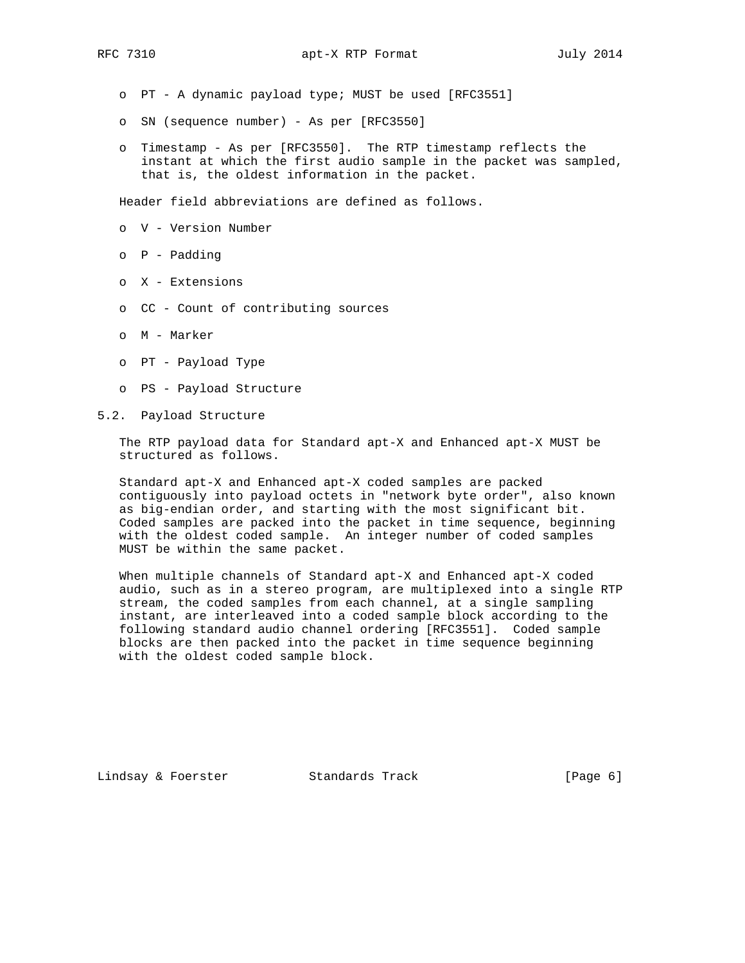- o PT A dynamic payload type; MUST be used [RFC3551]
- o SN (sequence number) As per [RFC3550]
- o Timestamp As per [RFC3550]. The RTP timestamp reflects the instant at which the first audio sample in the packet was sampled, that is, the oldest information in the packet.

Header field abbreviations are defined as follows.

- o V Version Number
- o P Padding
- o X Extensions
- o CC Count of contributing sources
- o M Marker
- o PT Payload Type
- o PS Payload Structure
- 5.2. Payload Structure

 The RTP payload data for Standard apt-X and Enhanced apt-X MUST be structured as follows.

 Standard apt-X and Enhanced apt-X coded samples are packed contiguously into payload octets in "network byte order", also known as big-endian order, and starting with the most significant bit. Coded samples are packed into the packet in time sequence, beginning with the oldest coded sample. An integer number of coded samples MUST be within the same packet.

 When multiple channels of Standard apt-X and Enhanced apt-X coded audio, such as in a stereo program, are multiplexed into a single RTP stream, the coded samples from each channel, at a single sampling instant, are interleaved into a coded sample block according to the following standard audio channel ordering [RFC3551]. Coded sample blocks are then packed into the packet in time sequence beginning with the oldest coded sample block.

Lindsay & Foerster **Standards Track** [Page 6]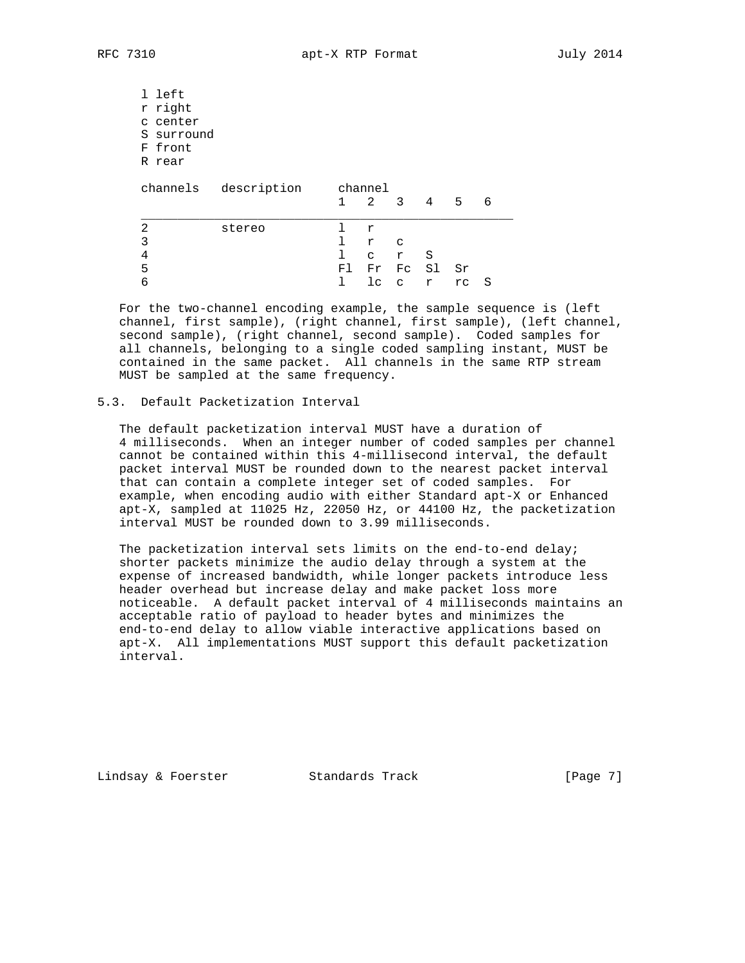l left r right c center S surround F front R rear channels description channel 1 2 3 4 5 6 \_\_\_\_\_\_\_\_\_\_\_\_\_\_\_\_\_\_\_\_\_\_\_\_\_\_\_\_\_\_\_\_\_\_\_\_\_\_\_\_\_\_\_\_\_\_\_\_\_\_\_ 2 stereo l r  $\begin{array}{ccc} 3 & 1 & r & c \\ 4 & 1 & c & r \end{array}$  4 l c r S 5 Fl Fr Fc Sl Sr 6 l lc c r rc S

 For the two-channel encoding example, the sample sequence is (left channel, first sample), (right channel, first sample), (left channel, second sample), (right channel, second sample). Coded samples for all channels, belonging to a single coded sampling instant, MUST be contained in the same packet. All channels in the same RTP stream MUST be sampled at the same frequency.

## 5.3. Default Packetization Interval

 The default packetization interval MUST have a duration of 4 milliseconds. When an integer number of coded samples per channel cannot be contained within this 4-millisecond interval, the default packet interval MUST be rounded down to the nearest packet interval that can contain a complete integer set of coded samples. For example, when encoding audio with either Standard apt-X or Enhanced apt-X, sampled at 11025 Hz, 22050 Hz, or 44100 Hz, the packetization interval MUST be rounded down to 3.99 milliseconds.

 The packetization interval sets limits on the end-to-end delay; shorter packets minimize the audio delay through a system at the expense of increased bandwidth, while longer packets introduce less header overhead but increase delay and make packet loss more noticeable. A default packet interval of 4 milliseconds maintains an acceptable ratio of payload to header bytes and minimizes the end-to-end delay to allow viable interactive applications based on apt-X. All implementations MUST support this default packetization interval.

Lindsay & Foerster **Standards Track** [Page 7]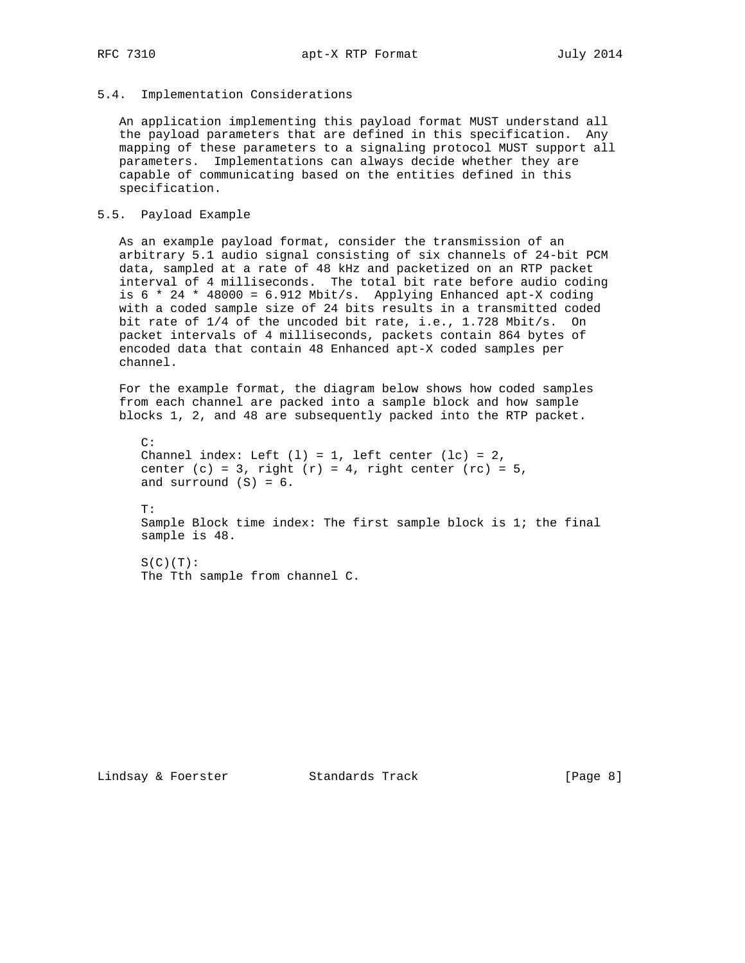### 5.4. Implementation Considerations

 An application implementing this payload format MUST understand all the payload parameters that are defined in this specification. Any mapping of these parameters to a signaling protocol MUST support all parameters. Implementations can always decide whether they are capable of communicating based on the entities defined in this specification.

### 5.5. Payload Example

 As an example payload format, consider the transmission of an arbitrary 5.1 audio signal consisting of six channels of 24-bit PCM data, sampled at a rate of 48 kHz and packetized on an RTP packet interval of 4 milliseconds. The total bit rate before audio coding is  $6 * 24 * 48000 = 6.912$  Mbit/s. Applying Enhanced apt-X coding with a coded sample size of 24 bits results in a transmitted coded bit rate of 1/4 of the uncoded bit rate, i.e., 1.728 Mbit/s. On packet intervals of 4 milliseconds, packets contain 864 bytes of encoded data that contain 48 Enhanced apt-X coded samples per channel.

 For the example format, the diagram below shows how coded samples from each channel are packed into a sample block and how sample blocks 1, 2, and 48 are subsequently packed into the RTP packet.

```
C:Channel index: Left (1) = 1, left center (1c) = 2,
center (c) = 3, right (r) = 4, right center rc = 5,
and surround (S) = 6.
 T:
 Sample Block time index: The first sample block is 1; the final
 sample is 48.
S(C)(T): The Tth sample from channel C.
```
Lindsay & Foerster Standards Track [Page 8]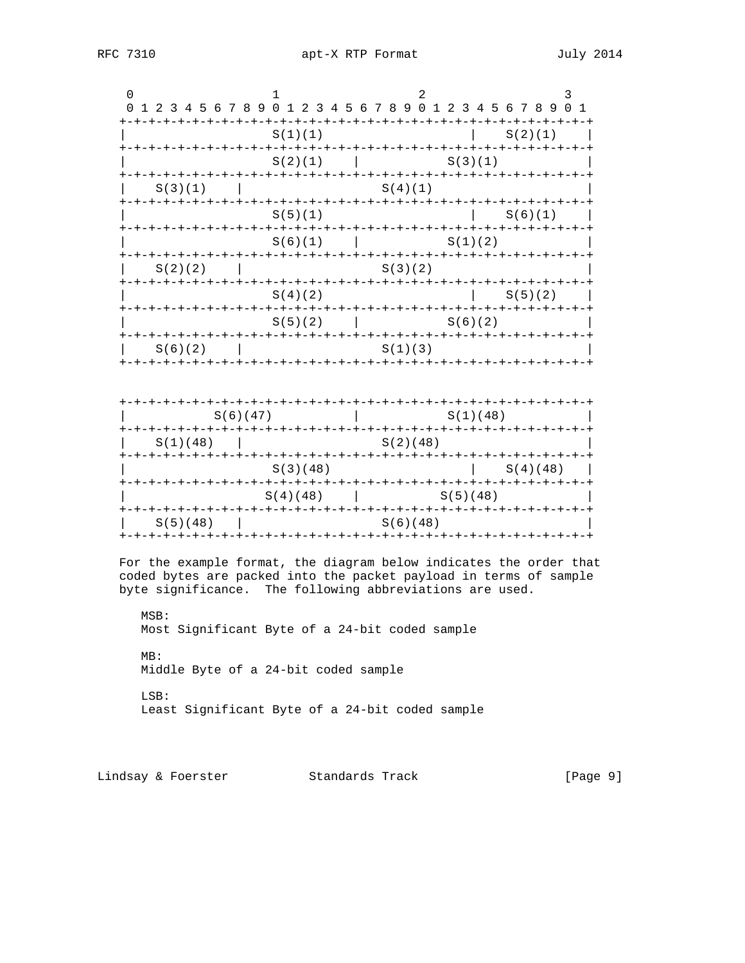| 0                                                                                                                             | 0 1 2 3 4 5 6 7 8 9 0 1 2 3 4 5 6 7 8 9 0 1 2 3 4 5 6 7 8 9 0 1                                                        |  |  |  |  |  |  |  |  |  |  |                                                |  |  |                       |         |  |  |  |          |  |  |  |  |  |          |          |         |  |         |  |                                                                    |
|-------------------------------------------------------------------------------------------------------------------------------|------------------------------------------------------------------------------------------------------------------------|--|--|--|--|--|--|--|--|--|--|------------------------------------------------|--|--|-----------------------|---------|--|--|--|----------|--|--|--|--|--|----------|----------|---------|--|---------|--|--------------------------------------------------------------------|
|                                                                                                                               |                                                                                                                        |  |  |  |  |  |  |  |  |  |  | S(1)(1)                                        |  |  |                       |         |  |  |  |          |  |  |  |  |  |          |          | S(2)(1) |  |         |  |                                                                    |
|                                                                                                                               | $S(2)(1)$ $S(3)(1)$                                                                                                    |  |  |  |  |  |  |  |  |  |  |                                                |  |  |                       |         |  |  |  |          |  |  |  |  |  |          |          |         |  |         |  |                                                                    |
|                                                                                                                               | S(3)(1)                                                                                                                |  |  |  |  |  |  |  |  |  |  |                                                |  |  |                       | S(4)(1) |  |  |  |          |  |  |  |  |  |          |          |         |  |         |  |                                                                    |
|                                                                                                                               | S(5)(1)                                                                                                                |  |  |  |  |  |  |  |  |  |  |                                                |  |  |                       |         |  |  |  |          |  |  |  |  |  |          |          |         |  | S(6)(1) |  |                                                                    |
|                                                                                                                               |                                                                                                                        |  |  |  |  |  |  |  |  |  |  |                                                |  |  |                       |         |  |  |  |          |  |  |  |  |  |          |          |         |  |         |  |                                                                    |
|                                                                                                                               | $S(2)(2)$                                                                                                              |  |  |  |  |  |  |  |  |  |  |                                                |  |  | S(3)(2)               |         |  |  |  |          |  |  |  |  |  |          |          |         |  |         |  |                                                                    |
|                                                                                                                               |                                                                                                                        |  |  |  |  |  |  |  |  |  |  |                                                |  |  |                       |         |  |  |  |          |  |  |  |  |  |          |          |         |  |         |  |                                                                    |
|                                                                                                                               | $\begin{array}{ccccccccc}   & & S(4)(2) & &   & S(5)(2) &   \\ + & & & & & \\ & & & & & \\ & & & & & & \\ \end{array}$ |  |  |  |  |  |  |  |  |  |  |                                                |  |  | $S(5)(2)$   $S(6)(2)$ |         |  |  |  |          |  |  |  |  |  |          |          |         |  |         |  |                                                                    |
|                                                                                                                               | S(6)(2)                                                                                                                |  |  |  |  |  |  |  |  |  |  |                                                |  |  |                       |         |  |  |  | S(1)(3)  |  |  |  |  |  |          |          |         |  |         |  |                                                                    |
|                                                                                                                               |                                                                                                                        |  |  |  |  |  |  |  |  |  |  |                                                |  |  |                       |         |  |  |  |          |  |  |  |  |  |          |          |         |  |         |  |                                                                    |
|                                                                                                                               |                                                                                                                        |  |  |  |  |  |  |  |  |  |  | S(6)(47)                                       |  |  |                       |         |  |  |  |          |  |  |  |  |  | S(1)(48) |          |         |  |         |  |                                                                    |
|                                                                                                                               |                                                                                                                        |  |  |  |  |  |  |  |  |  |  | S(1)(48)                                       |  |  |                       |         |  |  |  | S(2)(48) |  |  |  |  |  |          |          |         |  |         |  |                                                                    |
|                                                                                                                               | S(3)(48)                                                                                                               |  |  |  |  |  |  |  |  |  |  |                                                |  |  |                       |         |  |  |  |          |  |  |  |  |  |          | S(4)(48) |         |  |         |  |                                                                    |
|                                                                                                                               |                                                                                                                        |  |  |  |  |  |  |  |  |  |  |                                                |  |  | $S(4)(48)$ $S(5)(48)$ |         |  |  |  |          |  |  |  |  |  |          |          |         |  |         |  |                                                                    |
|                                                                                                                               | S(5)(48)                                                                                                               |  |  |  |  |  |  |  |  |  |  |                                                |  |  |                       |         |  |  |  | S(6)(48) |  |  |  |  |  |          |          |         |  |         |  |                                                                    |
| coded bytes are packed into the packet payload in terms of sample<br>byte significance. The following abbreviations are used. |                                                                                                                        |  |  |  |  |  |  |  |  |  |  |                                                |  |  |                       |         |  |  |  |          |  |  |  |  |  |          |          |         |  |         |  | For the example format, the diagram below indicates the order that |
|                                                                                                                               | MSB:                                                                                                                   |  |  |  |  |  |  |  |  |  |  | Most Significant Byte of a 24-bit coded sample |  |  |                       |         |  |  |  |          |  |  |  |  |  |          |          |         |  |         |  |                                                                    |

 $MB:$ Middle Byte of a 24-bit coded sample LSB: Least Significant Byte of a 24-bit coded sample

Lindsay & Foerster Standards Track [Page 9]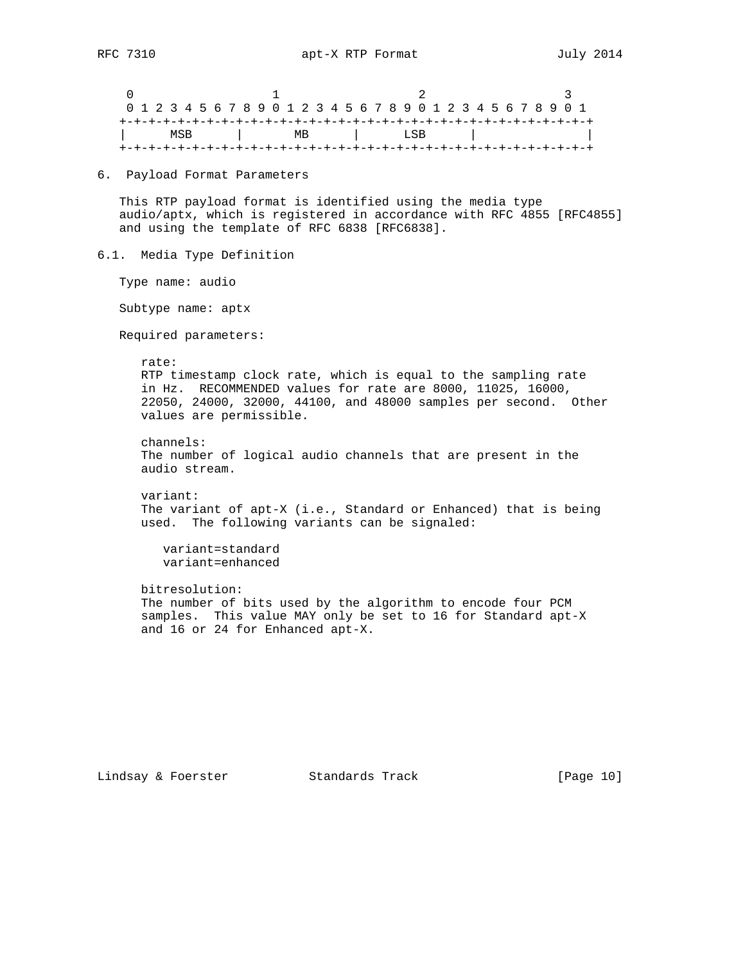|  | 0 1 2 3 4 5 6 7 8 9 0 1 2 3 4 5 6 7 8 9 0 1 2 3 4 5 6 7 8 9 0 1 |  |  |  |  |  |  |  |    |  |  |  |  |  |  |  |      |  |  |  |  |  |  |  |  |  |  |  |  |  |  |
|--|-----------------------------------------------------------------|--|--|--|--|--|--|--|----|--|--|--|--|--|--|--|------|--|--|--|--|--|--|--|--|--|--|--|--|--|--|
|  |                                                                 |  |  |  |  |  |  |  |    |  |  |  |  |  |  |  |      |  |  |  |  |  |  |  |  |  |  |  |  |  |  |
|  | MSB                                                             |  |  |  |  |  |  |  | MВ |  |  |  |  |  |  |  | LSB. |  |  |  |  |  |  |  |  |  |  |  |  |  |  |
|  |                                                                 |  |  |  |  |  |  |  |    |  |  |  |  |  |  |  |      |  |  |  |  |  |  |  |  |  |  |  |  |  |  |

6. Payload Format Parameters

 This RTP payload format is identified using the media type audio/aptx, which is registered in accordance with RFC 4855 [RFC4855] and using the template of RFC 6838 [RFC6838].

6.1. Media Type Definition

Type name: audio

Subtype name: aptx

Required parameters:

rate:

 RTP timestamp clock rate, which is equal to the sampling rate in Hz. RECOMMENDED values for rate are 8000, 11025, 16000, 22050, 24000, 32000, 44100, and 48000 samples per second. Other values are permissible.

 channels: The number of logical audio channels that are present in the audio stream.

 variant: The variant of apt-X (i.e., Standard or Enhanced) that is being used. The following variants can be signaled:

 variant=standard variant=enhanced

 bitresolution: The number of bits used by the algorithm to encode four PCM samples. This value MAY only be set to 16 for Standard apt-X and 16 or 24 for Enhanced apt-X.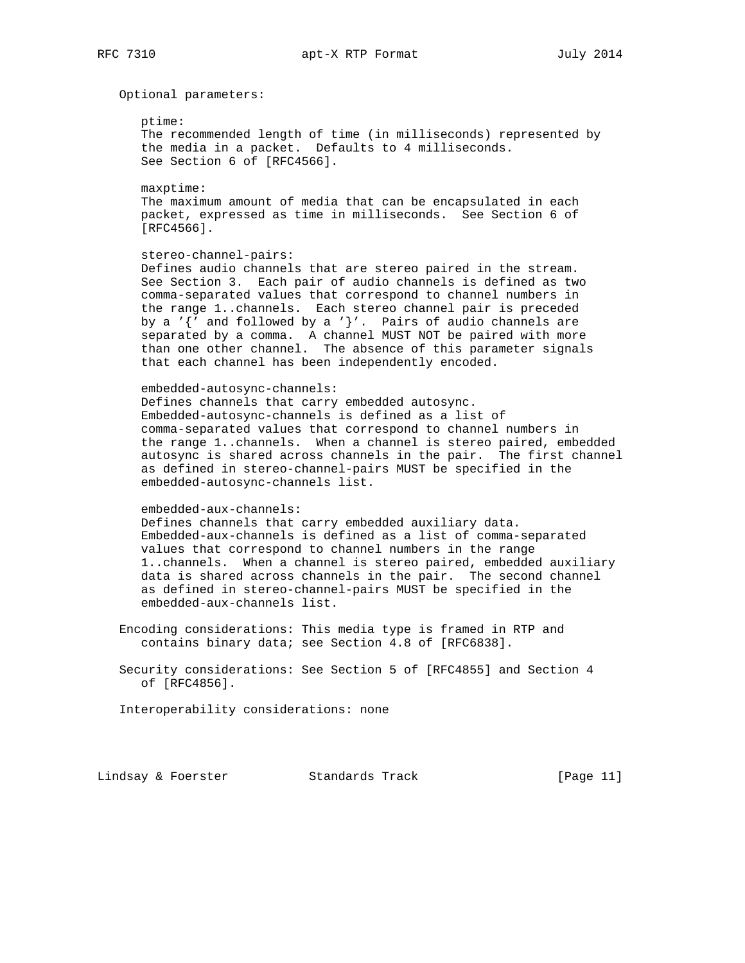Optional parameters:

ptime:

 The recommended length of time (in milliseconds) represented by the media in a packet. Defaults to 4 milliseconds. See Section 6 of [RFC4566].

 maxptime: The maximum amount of media that can be encapsulated in each packet, expressed as time in milliseconds. See Section 6 of [RFC4566].

#### stereo-channel-pairs:

 Defines audio channels that are stereo paired in the stream. See Section 3. Each pair of audio channels is defined as two comma-separated values that correspond to channel numbers in the range 1..channels. Each stereo channel pair is preceded by a ' $\{$ ' and followed by a ' $\}$ '. Pairs of audio channels are separated by a comma. A channel MUST NOT be paired with more than one other channel. The absence of this parameter signals that each channel has been independently encoded.

## embedded-autosync-channels:

 Defines channels that carry embedded autosync. Embedded-autosync-channels is defined as a list of comma-separated values that correspond to channel numbers in the range 1..channels. When a channel is stereo paired, embedded autosync is shared across channels in the pair. The first channel as defined in stereo-channel-pairs MUST be specified in the embedded-autosync-channels list.

#### embedded-aux-channels:

 Defines channels that carry embedded auxiliary data. Embedded-aux-channels is defined as a list of comma-separated values that correspond to channel numbers in the range 1..channels. When a channel is stereo paired, embedded auxiliary data is shared across channels in the pair. The second channel as defined in stereo-channel-pairs MUST be specified in the embedded-aux-channels list.

 Encoding considerations: This media type is framed in RTP and contains binary data; see Section 4.8 of [RFC6838].

 Security considerations: See Section 5 of [RFC4855] and Section 4 of [RFC4856].

Interoperability considerations: none

Lindsay & Foerster Standards Track [Page 11]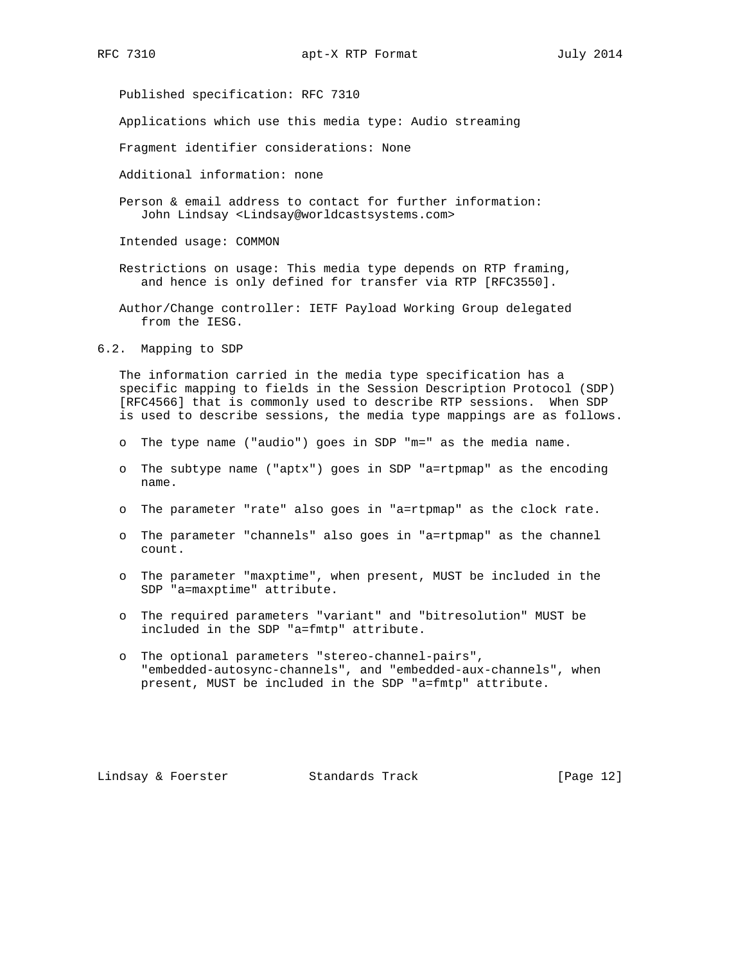Published specification: RFC 7310

Applications which use this media type: Audio streaming

Fragment identifier considerations: None

Additional information: none

 Person & email address to contact for further information: John Lindsay <Lindsay@worldcastsystems.com>

Intended usage: COMMON

- Restrictions on usage: This media type depends on RTP framing, and hence is only defined for transfer via RTP [RFC3550].
- Author/Change controller: IETF Payload Working Group delegated from the IESG.

6.2. Mapping to SDP

 The information carried in the media type specification has a specific mapping to fields in the Session Description Protocol (SDP) [RFC4566] that is commonly used to describe RTP sessions. When SDP is used to describe sessions, the media type mappings are as follows.

- o The type name ("audio") goes in SDP "m=" as the media name.
- o The subtype name ("aptx") goes in SDP "a=rtpmap" as the encoding name.
- o The parameter "rate" also goes in "a=rtpmap" as the clock rate.
- o The parameter "channels" also goes in "a=rtpmap" as the channel count.
- o The parameter "maxptime", when present, MUST be included in the SDP "a=maxptime" attribute.
- o The required parameters "variant" and "bitresolution" MUST be included in the SDP "a=fmtp" attribute.
- o The optional parameters "stereo-channel-pairs", "embedded-autosync-channels", and "embedded-aux-channels", when present, MUST be included in the SDP "a=fmtp" attribute.

Lindsay & Foerster Standards Track [Page 12]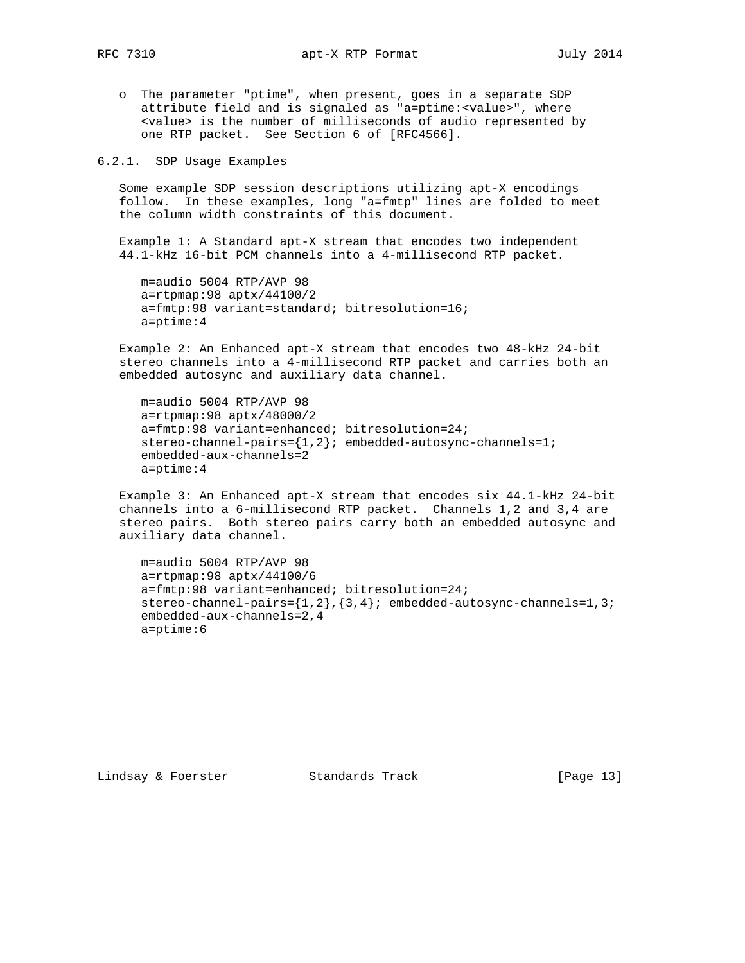o The parameter "ptime", when present, goes in a separate SDP attribute field and is signaled as "a=ptime:<value>", where <value> is the number of milliseconds of audio represented by one RTP packet. See Section 6 of [RFC4566].

6.2.1. SDP Usage Examples

 Some example SDP session descriptions utilizing apt-X encodings follow. In these examples, long "a=fmtp" lines are folded to meet the column width constraints of this document.

 Example 1: A Standard apt-X stream that encodes two independent 44.1-kHz 16-bit PCM channels into a 4-millisecond RTP packet.

 m=audio 5004 RTP/AVP 98 a=rtpmap:98 aptx/44100/2 a=fmtp:98 variant=standard; bitresolution=16; a=ptime:4

 Example 2: An Enhanced apt-X stream that encodes two 48-kHz 24-bit stereo channels into a 4-millisecond RTP packet and carries both an embedded autosync and auxiliary data channel.

 m=audio 5004 RTP/AVP 98 a=rtpmap:98 aptx/48000/2 a=fmtp:98 variant=enhanced; bitresolution=24; stereo-channel-pairs={1,2}; embedded-autosync-channels=1; embedded-aux-channels=2 a=ptime:4

 Example 3: An Enhanced apt-X stream that encodes six 44.1-kHz 24-bit channels into a 6-millisecond RTP packet. Channels 1,2 and 3,4 are stereo pairs. Both stereo pairs carry both an embedded autosync and auxiliary data channel.

```
 m=audio 5004 RTP/AVP 98
 a=rtpmap:98 aptx/44100/6
 a=fmtp:98 variant=enhanced; bitresolution=24;
 stereo-channel-pairs={1,2},{3,4}; embedded-autosync-channels=1,3;
 embedded-aux-channels=2,4
 a=ptime:6
```
Lindsay & Foerster Standards Track [Page 13]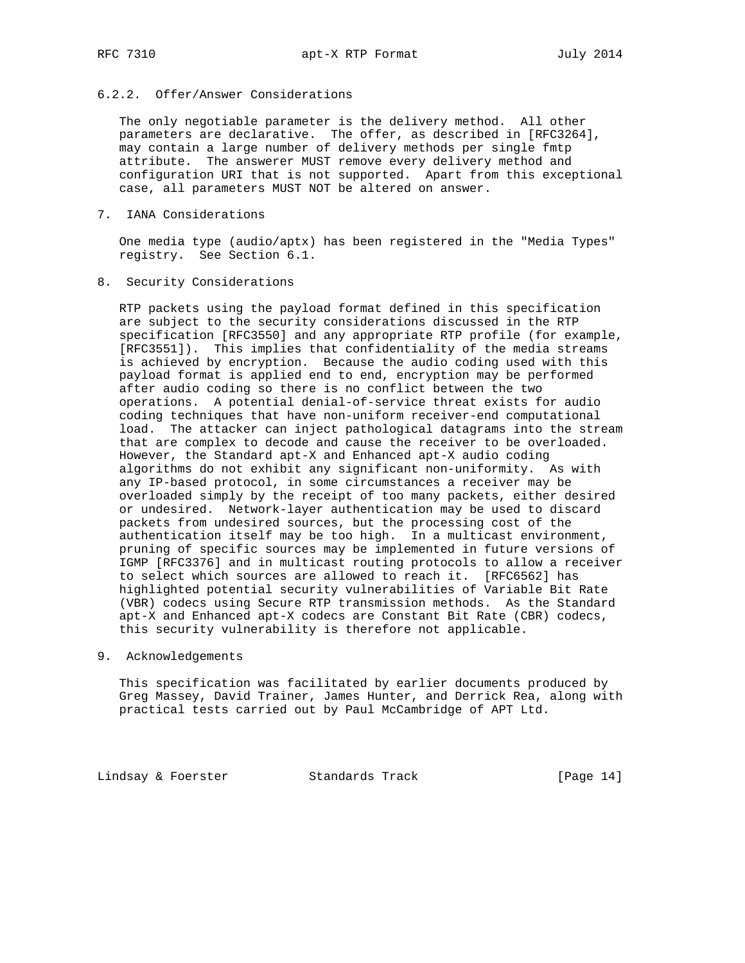# 6.2.2. Offer/Answer Considerations

 The only negotiable parameter is the delivery method. All other parameters are declarative. The offer, as described in [RFC3264], may contain a large number of delivery methods per single fmtp attribute. The answerer MUST remove every delivery method and configuration URI that is not supported. Apart from this exceptional case, all parameters MUST NOT be altered on answer.

7. IANA Considerations

 One media type (audio/aptx) has been registered in the "Media Types" registry. See Section 6.1.

8. Security Considerations

 RTP packets using the payload format defined in this specification are subject to the security considerations discussed in the RTP specification [RFC3550] and any appropriate RTP profile (for example, [RFC3551]). This implies that confidentiality of the media streams is achieved by encryption. Because the audio coding used with this payload format is applied end to end, encryption may be performed after audio coding so there is no conflict between the two operations. A potential denial-of-service threat exists for audio coding techniques that have non-uniform receiver-end computational load. The attacker can inject pathological datagrams into the stream that are complex to decode and cause the receiver to be overloaded. However, the Standard apt-X and Enhanced apt-X audio coding algorithms do not exhibit any significant non-uniformity. As with any IP-based protocol, in some circumstances a receiver may be overloaded simply by the receipt of too many packets, either desired or undesired. Network-layer authentication may be used to discard packets from undesired sources, but the processing cost of the authentication itself may be too high. In a multicast environment, pruning of specific sources may be implemented in future versions of IGMP [RFC3376] and in multicast routing protocols to allow a receiver to select which sources are allowed to reach it. [RFC6562] has highlighted potential security vulnerabilities of Variable Bit Rate (VBR) codecs using Secure RTP transmission methods. As the Standard apt-X and Enhanced apt-X codecs are Constant Bit Rate (CBR) codecs, this security vulnerability is therefore not applicable.

9. Acknowledgements

 This specification was facilitated by earlier documents produced by Greg Massey, David Trainer, James Hunter, and Derrick Rea, along with practical tests carried out by Paul McCambridge of APT Ltd.

Lindsay & Foerster Standards Track [Page 14]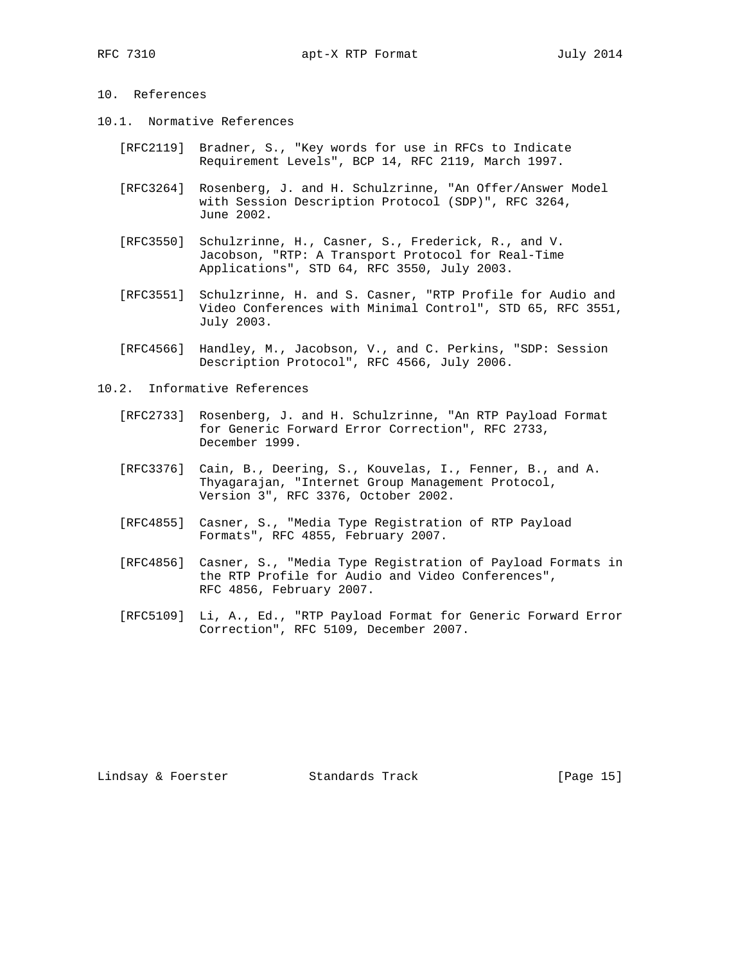# 10. References

- 10.1. Normative References
	- [RFC2119] Bradner, S., "Key words for use in RFCs to Indicate Requirement Levels", BCP 14, RFC 2119, March 1997.
	- [RFC3264] Rosenberg, J. and H. Schulzrinne, "An Offer/Answer Model with Session Description Protocol (SDP)", RFC 3264, June 2002.
	- [RFC3550] Schulzrinne, H., Casner, S., Frederick, R., and V. Jacobson, "RTP: A Transport Protocol for Real-Time Applications", STD 64, RFC 3550, July 2003.
	- [RFC3551] Schulzrinne, H. and S. Casner, "RTP Profile for Audio and Video Conferences with Minimal Control", STD 65, RFC 3551, July 2003.
	- [RFC4566] Handley, M., Jacobson, V., and C. Perkins, "SDP: Session Description Protocol", RFC 4566, July 2006.
- 10.2. Informative References
	- [RFC2733] Rosenberg, J. and H. Schulzrinne, "An RTP Payload Format for Generic Forward Error Correction", RFC 2733, December 1999.
	- [RFC3376] Cain, B., Deering, S., Kouvelas, I., Fenner, B., and A. Thyagarajan, "Internet Group Management Protocol, Version 3", RFC 3376, October 2002.
	- [RFC4855] Casner, S., "Media Type Registration of RTP Payload Formats", RFC 4855, February 2007.
	- [RFC4856] Casner, S., "Media Type Registration of Payload Formats in the RTP Profile for Audio and Video Conferences", RFC 4856, February 2007.
	- [RFC5109] Li, A., Ed., "RTP Payload Format for Generic Forward Error Correction", RFC 5109, December 2007.